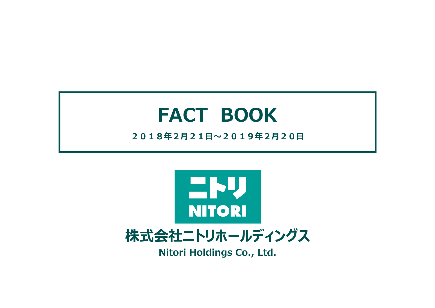# **FACT BOOK**

## **2018年2⽉21⽇〜2019年2⽉20⽇**



**株式会社ニトリホールディングス**

**Nitori Holdings Co., Ltd.**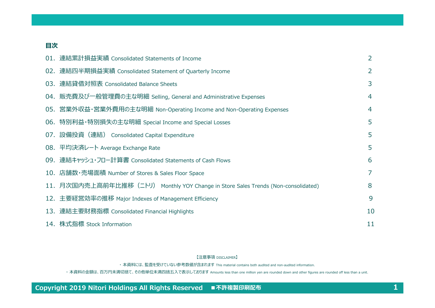### **⽬次**

| 01. 連結累計損益実績 Consolidated Statements of Income                                    | $\overline{2}$ |
|-----------------------------------------------------------------------------------|----------------|
| 02. 連結四半期損益実績 Consolidated Statement of Quarterly Income                          | $\overline{2}$ |
| 03. 連結貸借対照表 Consolidated Balance Sheets                                           | 3              |
| 04. 販売費及び一般管理費の主な明細 Selling, General and Administrative Expenses                  | 4              |
| 05. 営業外収益・営業外費用の主な明細 Non-Operating Income and Non-Operating Expenses              | 4              |
| 06. 特別利益・特別損失の主な明細 Special Income and Special Losses                              | 5              |
| 07. 設備投資 (連結) Consolidated Capital Expenditure                                    | 5              |
| 08. 平均決済レート Average Exchange Rate                                                 | 5              |
| 09. 連結キャッシュ・フロー計算書 Consolidated Statements of Cash Flows                          | 6              |
| 10. 店舗数・売場面積 Number of Stores & Sales Floor Space                                 | 7              |
| 11. 月次国内売上高前年比推移(ニトリ) Monthly YOY Change in Store Sales Trends (Non-consolidated) | 8              |
| 12. 主要経営効率の推移 Major Indexes of Management Efficiency                              | 9              |
| 13. 連結主要財務指標 Consolidated Financial Highlights                                    | 10             |
| 14. 株式指標 Stock Information                                                        | 11             |

#### 【注意事項 DISCLAIMER】

・ 本資料には、監査を受けていない参考数値が含まれます This material contains both audited and non-audited information.

・本資料の金額は、百万円未満切捨て、その他単位未満四捨五入で表示しております Amounts less than one million yen are rounded down and other figures are rounded off less than a unit.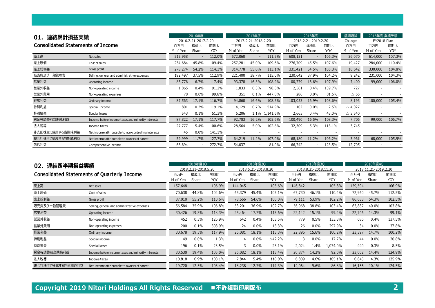| 01.             | 連結累計損益実績<br><b>Consolidated Statements of Income</b> |                 |              | 2016年度<br>2016.2.21-2017.2.20 |          |       | 2017年度<br>2017.2.21-2018.2.20<br>構成比<br>前期比<br>百万円 |                 |              | 2018.2.21-2019.2.20 | 前期増減<br>Change    | 2018年度 業績予想<br><b>FY2018 Plan</b> |                   |
|-----------------|------------------------------------------------------|-----------------|--------------|-------------------------------|----------|-------|----------------------------------------------------|-----------------|--------------|---------------------|-------------------|-----------------------------------|-------------------|
|                 |                                                      | 百万円<br>M of Yen | 構成比<br>Share | 前期比<br>YOY                    | M of Yen | Share | YOY                                                | 百万円<br>M of Yen | 構成比<br>Share | 前期比<br>YOY          | 百万円<br>M of Yen   | 百万円<br>M of Yen                   | 前期比<br><b>YOY</b> |
| 売上高             | Net sales                                            | 512,958         |              | 112.0%                        | 572,060  |       | 111.5%                                             | 608,131         |              | 106.3%              | 36,070            | 614,000                           | 107.3%            |
| 売上原価            | Cost of sales                                        | 234,684         | 45.8%        | 109.4%                        | 257,281  | 45.0% | 109.6%                                             | 276,709         | 45.5%        | 107.6%              | 19,427            | 284,000                           | 110.4%            |
| 売上総利益           | Gross profit                                         | 278,274         | 54.2%        | 114.3%                        | 314,778  | 55.0% | 113.1%                                             | 331,421         | 54.5%        | 105.3%              | 16,642            | 330,000                           | 104.8%            |
| 販売費及び一般管理費      | Selling, general and administrative expenses         | 192,497         | 37.5%        | 112.9%                        | 221,400  | 38.7% | 115.0%                                             | 230,642         | 37.9%        | 104.2%              | 9,242             | 231,000                           | 104.3%            |
| 営業利益            | Operating income                                     | 85,776          | 16.7%        | 117.4%                        | 93,378   | 16.3% | 108.9%                                             | 100,779         | 16.6%        | 107.9%              | 7,400             | 99,000                            | 106.0%            |
| 営業外収益           | Non-operating income                                 | 1,865           | 0.4%         | 91.2%                         | 1,833    | 0.3%  | 98.3%                                              | 2,561           | 0.4%         | 139.7%              | 727               |                                   |                   |
| 営業外費用           | Non-operating expenses                               | 78              | 0.0%         | 99.8%                         | 351      | 0.1%  | 447.8%                                             | 286             | 0.0%         | 81.5%               | $\triangle$ 65    |                                   |                   |
| 経常利益            | Ordinary income                                      | 87,563          | 17.1%        | 116.7%                        | 94,860   | 16.6% | 108.3%                                             | 103,053         | 16.9%        | 108.6%              | 8,193             | 100,000                           | 105.4%            |
| 特別利益            | Special Income                                       | 801             | 0.2%         | 119.1%                        | 4,129    | 0.7%  | 514.9%                                             | 102             | 0.0%         | 2.5%                | $\triangle$ 4,027 |                                   |                   |
| 特別損失            | Special losses                                       | 543             | 0.1%         | 51.3%                         | 6,206    |       | 1.1% 1,141.6%                                      | 2,665           | 0.4%         | 43.0%               | $\triangle$ 3,540 |                                   |                   |
| 税金等調整前当期純利益     | Income before income taxes and minority interests    | 87,822          | 17.1%        | 117.7%                        | 92,783   | 16.2% | 105.6%                                             | 100,490         | 16.5%        | 108.3%              | 7,706             | 99,000                            | 106.7%            |
| 法人税等            | Income taxes                                         | 27,777          | 5.4%         | 100.6%                        | 28,564   | 5.0%  | 102.8%                                             | 32,309          | 5.3%         | 113.1%              | 3,745             |                                   |                   |
| 非支配株主に帰属する当期純利益 | Net income attributable to non-controlling interests | 45              | 0.0%         | 141.1%                        |          |       |                                                    |                 |              |                     |                   |                                   |                   |
| 親会社株主に帰属する当期純利益 | Net income attributable to owners of parent          | 59,999          | 11.7%        | 127.7%                        | 64,219   | 11.2% | 107.0%                                             | 68,180          | 11.2%        | 106.2%              | 3,961             | 68,000                            | 105.9%            |
| 包括利益            | Comprehensive income                                 | 66,694          |              | 272.7%                        | 54,037   |       | 81.0%                                              | 66,742          |              | 123.5%              | 12,705            |                                   |                   |

| 連結四半期損益実績<br>02. | 2018年度10                                           |          | 2018年度20<br>2018.5.21-2018.8.20 |            |          |                          | 2018年度30   |          | 2018年度40             |            |          |                          |        |
|------------------|----------------------------------------------------|----------|---------------------------------|------------|----------|--------------------------|------------|----------|----------------------|------------|----------|--------------------------|--------|
|                  |                                                    |          | 2018.2.21-2018.5.20             |            |          |                          |            |          | 2018.8.21-2018.11.20 |            |          | 2018.11.21-2019.2.20     |        |
|                  | <b>Consolidated Statements of Quarterly Income</b> | 百万円      | 構成比                             | 前期比        | 百万円      | 構成比                      | 前期比        | 百万円      | 構成比                  | 前期比        | 百万円      | 構成比                      | 前期比    |
|                  |                                                    | M of Yen | Share                           | <b>YOY</b> | M of Yen | Share                    | <b>YOY</b> | M of Yen | Share                | <b>YOY</b> | M of Yen | Share                    | YOY    |
| 売上高              | Net sales                                          | 157,648  | $\overline{\phantom{a}}$        | 106.9%     | 144,045  | $\overline{\phantom{a}}$ | 105.6%     | 146,842  |                      | 105.8%     | 159,594  | $\overline{\phantom{a}}$ | 106.9% |
| 売上原価             | Cost of sales                                      | 70,638   | 44.8%                           | 102.6%     | 65,379   | 45.4%                    | 105.1%     | 67,730   | 46.1%                | 110.4%     | 72,960   | 45.7%                    | 112.5% |
| 売上総利益            | Gross profit                                       | 87,010   | 55.2%                           | 110.6%     | 78,666   | 54.6%                    | 106.0%     | 79,111   | 53.9%                | 102.2%     | 86,633   | 54.3%                    | 102.5% |
| 販売費及び一般管理費       | Selling, general and administrative expenses       | 56,584   | 35.9%                           | 106.8%     | 53,201   | 36.9%                    | 102.7%     | 56,968   | 38.8%                | 103.4%     | 63,887   | 40.0%                    | 103.8% |
| 営業利益             | Operating income                                   | 30,426   | 19.3%                           | 118.3%     | 25,464   | 17.7%                    | 113.6%     | 22,142   | 15.1%                | 99.4%      | 22,746   | 14.3%                    | 99.1%  |
| 営業外収益            | Non-operating income                               | 452      | 0.3%                            | 126.9%     | 642      | 0.4%                     | 163.5%     | 779      | 0.5%                 | 133.3%     | 686      | 0.4%                     | 137.5% |
| 営業外費用            | Non-operating expenses                             | 200      | 0.1%                            | 308.9%     | 24       | 0.0%                     | 13.3%      | 26       | 0.0%                 | 297.9%     | 34       | 0.0%                     | 37.8%  |
| 経常利益             | Ordinary income                                    | 30,678   | 19.5%                           | 117.9%     | 26,081   | 18.1%                    | 115.3%     | 22,896   | 15.6%                | 100.2%     | 23,397   | 14.7%                    | 100.2% |
| 特別利益             | Special income                                     | 49       | 0.0%                            | 1.3%       | 4        | 0.0%                     | △42.2%     |          | 0.0%                 | 17.7%      | 44       | $0.0\%$                  | 20.8%  |
| 特別損失             | Special losses                                     | 196      | 0.1%                            | 23.5%      | 3        | 0.0%                     | 23.1%      | 2,024    | 1.4%                 | 1,074.0%   | 440      | 0.3%                     | 8.5%   |
| 税金等調整前当期純利益      | Income before income taxes and minority interests  | 30,530   | 19.4%                           | 105.0%     | 26,082   | 18.1%                    | 115.4%     | 20,874   | 14.2%                | 92.0%      | 23,002   | 14.4%                    | 124.9% |
| 法人税等             | Income taxes                                       | 10,810   | 6.9%                            | 108.1%     | 7,844    | 5.4%                     | 118.0%     | 6,809    | 4.6%                 | 105.1%     | 6,845    | 4.3%                     | 125.9% |
| 親会社株主に帰属する四半期純利益 | Net income attributable to owners of parent        | 19,720   | 12.5%                           | 103.4%     | 18,238   | 12.7%                    | 114.3%     | 14,064   | 9.6%                 | 86.8%      | 16,156   | 10.1%                    | 124.5% |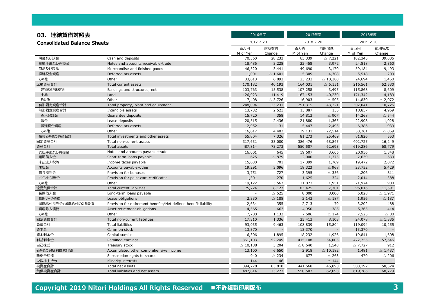| 03. 連結貸借対照表                        |                                                                 | 2016年度             |                   | 2017年度            |                    | 2018年度            |                   |  |
|------------------------------------|-----------------------------------------------------------------|--------------------|-------------------|-------------------|--------------------|-------------------|-------------------|--|
| <b>Consolidated Balance Sheets</b> |                                                                 | 2017.2.20          |                   | 2018.2.20         |                    | 2019.2.20         |                   |  |
|                                    |                                                                 | 百万円<br>M of Yen    | 前期増減<br>Change    | 百万円<br>M of Yen   | 前期増減<br>Change     | 百万円<br>M of Yen   | 前期増減<br>Change    |  |
| 現金及び預金                             | Cash and deposits                                               | 70,560             | 28,233            | 63,339            | $\triangle$ 7,221  | 102,345           | 39,006            |  |
| 受取手形及び売掛金                          | Notes and accounts receivable-trade                             | 18,486             | 3,228             | 22,458            | 3,972              | 24,818            | 2,360             |  |
| 商品及び製品                             | Merchandise and finished goods                                  | 46,520             | 3,441             | 49,690            | 3,170              | 59,184            | 9,493             |  |
| 繰延税金資産                             | Deferred tax assets                                             | 1,001              | $\triangle 1,601$ | 5,309             | 4,308              | 5,518             | 209               |  |
| その他                                | Other                                                           | 33,613             | 6,893             | 23,233            | $\triangle$ 10,380 | 24,694            | 1,460             |  |
| 流動資産合計                             | Total current assets                                            | 170,182            | 40,193            | 164,031           | $\triangle$ 6,151  | 216,561           | 52,530            |  |
| 建物及び構築物                            | Buildings and structures, net                                   | 103,763            | 15,538            | 107,258           | 3,495              | 115,868           | 8,609             |  |
| 土地                                 | Land                                                            | 126,923            | 11,419            | 167,153           | 40,230             | 171,342           | 4,189             |  |
| その他                                | Other                                                           | 17,408             | $\triangle$ 3,726 | 16,903            | $\triangle$ 505    | 14,830            | $\triangle$ 2,072 |  |
| 有形固定資産合計                           | Total property, plant and equipment                             | 248,094            | 23,231            | 291,315           | 43,221             | 302,041           | 10,726            |  |
| 無形固定資産合計                           | Intangible assets                                               | 13,732             | 2,523             | 13,887            | 155                | 18,857            | 4,969             |  |
| 差入保証金                              | Guarantee deposits                                              | 15,720             | 358               | 14,813            | $\triangle$ 907    | 14,268            | $\triangle$ 544   |  |
| 敷金                                 | Lease deposits                                                  | 20,515             | 2,436             | 21,880            | 1,365              | 22,908            | 1,028             |  |
| 繰延税金資産                             | Deferred tax assets                                             | 2,952              | 131               | 5,447             | 2,495              | 6,386             | 939               |  |
| その他                                | Other                                                           | 16,617             | 4,402             | 39,131            | 22,514             | 38,261            | $\triangle$ 869   |  |
| 投資その他の資産合計                         | Total investments and other assets                              | 55,804             | 7,326             | 81,273            | 25,469             | 81,826            | 553               |  |
| 固定資産合計                             | Total non-current assets                                        | 317,631            | 33,080            | 386,476           | 68,845             | 402,725           | 16,249            |  |
| 資産合計                               | Total assets                                                    | 487,814            | 73,273            | 550,507           | 62,693             | 619,286           | 68,779            |  |
| 支払手形及び買掛金                          | Notes and accounts payable-trade                                | 16,001             | 645               | 19,607            | 3,606              | 20,956            | 1,348             |  |
| 短期借入金                              | Short-term loans payable                                        | 625                | $\triangle$ 879   | 2,000             | 1,375              | 2,639             | 639               |  |
| 未払法人税等                             | Income taxes payable                                            | 15,630             | 701               | 17,399            | 1,769              | 19,472            | 2,072             |  |
| 未払金                                | Accounts payable-other                                          | 19,291             | 3,096             | 18,323            | $\triangle$ 968    | 23,752            | 5,429             |  |
| 賞与引当金                              | Provision for bonuses                                           | 3,751              | 727               | 3,395             | $\triangle$ 356    | 4,206             | 811               |  |
| ポイント引当金                            | Provision for point card certificates                           | 1,301              | 270               | 1,625             | 324                | 2,014             | 388               |  |
| その他                                | Other                                                           | 19,122             | 3,567             | 21,073            | 1,951              | 21,974            | 900               |  |
| 流動負債合計                             | Total current liabilities                                       | 75,724             | 8,127             | 83,425            | 7,701              | 95,016            | 11,591            |  |
| 長期借入金                              | Long-term loans payable                                         | $\overline{a}$     | $\triangle$ 625   | 8,000             | 8,000              | 6,028             | $\triangle$ 1,971 |  |
| 長期リース債務                            | Lease obligations                                               | 2,330              | $\triangle$ 188   | 2,143             | $\triangle$ 187    | 1,956             | $\triangle$ 187   |  |
| 退職給付引当金/退職給付に係る負債                  | Provision for retirement benefits/Net defined benefit liability | 2,634              | 355               | 2,713             | 79                 | 3,202             | 488               |  |
| 資産除去債務                             | Asset retirement obligations                                    | 4,565              | 663               | 4,950             | 385                | 5,365             | 414               |  |
| その他                                | Other                                                           | 7,780              | 1,132             | 7,606             | $\triangle$ 174    | 7,525             | $\triangle$ 80    |  |
| 固定負債合計                             | Total non-current liabilities                                   | 17,310             | 1,336             | 25,413            | 8,103              | 24,078            | $\triangle$ 1,335 |  |
| 負債合計                               | <b>Total liabilities</b>                                        | 93,035             | 9,463             | 108,839           | 15,804             | 119,094           | 10,255            |  |
| 資本金                                | Common stock                                                    | 13,370             |                   | 13,370            |                    | 13,370            |                   |  |
| 資本剰余金                              | Capital surplus                                                 | 16,306             | 1,895             | 18,232            | 1,926              | 19,841            | 1,608             |  |
| 利益剰余金                              | Retained earnings                                               | 361,103            | 52,249            | 415,108           | 54,005             | 472,755           | 57,646            |  |
| 自己株式                               | Treasury stock                                                  | $\triangle$ 10,188 | 3,204             | $\triangle$ 8,640 | 1,548              | $\triangle$ 7,727 | 912               |  |
| その他の包括利益累計額                        | Accumulated other comprehensive income                          | 13,100             | 6,650             | 2,918             | $\triangle$ 10,182 | 1,481             | $\triangle$ 1,437 |  |
| 新株予約権                              | Subscription rights to shares                                   | 940                | $\triangle$ 234   | 677               | $\triangle$ 263    | 470               | $\triangle$ 206   |  |
| 少数株主持分                             | Minority interests                                              | 144                | 46                | $\overline{a}$    | $\triangle$ 144    |                   |                   |  |
| 純資産合計                              | Total net assets                                                | 394,778            | 63,810            | 441,668           | 46,890             | 500,192           | 58,524            |  |
| 負債純資産合計                            | Total liabilities and net assets                                | 487,814            | 73,273            | 550,507           | 62,693             | 619,286           | 68,779            |  |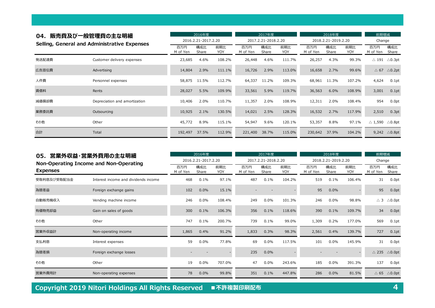| 04.   | 販売費及び一般管理費の主な明細<br>Selling, General and Administrative Expenses |                 | 2016年度<br>2016.2.21-2017.2.20 |            | 2017年度<br>2017.2.21-2018.2.20 |              |            | 2018年度<br>2018.2.21-2019.2.20 |              | 前期増減<br>Change |                   |                   |
|-------|-----------------------------------------------------------------|-----------------|-------------------------------|------------|-------------------------------|--------------|------------|-------------------------------|--------------|----------------|-------------------|-------------------|
|       |                                                                 | 百万円<br>M of Yen | 構成比<br>Share                  | 前期比<br>YOY | 百万円<br>M of Yen               | 構成比<br>Share | 前期比<br>YOY | 百万円<br>M of Yen               | 構成比<br>Share | 前期比<br>YOY     | 百万円<br>M of Yen   | 構成比<br>Share      |
| 発送配達費 | Customer delivery expenses                                      | 23,685          | 4.6%                          | 108.2%     | 26,448                        | 4.6%         | 111.7%     | 26,257                        | 4.3%         | 99.3%          | $\triangle$ 191   | $\triangle$ 0.3pt |
| 広告宣伝費 | Advertising                                                     | 14,804          | 2.9%                          | 111.1%     | 16,726                        | 2.9%         | 113.0%     | 16,658                        | 2.7%         | 99.6%          | $\triangle$ 67    | $\triangle$ 0.2pt |
| 人件費   | Personnel expenses                                              | 58,875          | 11.5%                         | 112.7%     | 64,337                        | 11.2%        | 109.3%     | 68,961                        | 11.3%        | 107.2%         | 4,624             | 0.1pt             |
| 賃借料   | Rents                                                           | 28,027          | 5.5%                          | 109.9%     | 33,561                        | 5.9%         | 119.7%     | 36,563                        | 6.0%         | 108.9%         | 3,001             | 0.1pt             |
| 減価償却費 | Depreciation and amortization                                   | 10,406          | 2.0%                          | 110.7%     | 11,357                        | 2.0%         | 108.9%     | 12,311                        | 2.0%         | 108.4%         | 954               | 0.0pt             |
| 業務委託費 | Outsourcing                                                     | 10,925          | 2.1%                          | 130.5%     | 14,021                        | 2.5%         | 128.3%     | 16,532                        | 2.7%         | 117.9%         | 2,510             | 0.3pt             |
| その他   | Other                                                           | 45,772          | 8.9%                          | 115.1%     | 54,947                        | 9.6%         | 120.1%     | 53,357                        | 8.8%         | 97.1%          | $\triangle 1,590$ | $\triangle$ 0.8pt |
| 合計    | Total                                                           | 192,497         | 37.5%                         | 112.9%     | 221,400                       | 38.7%        | 115.0%     | 230,642                       | 37.9%        | 104.2%         | 9,242             | $\triangle$ 0.8pt |

| 05.             | 営業外収益・営業外費用の主な明細<br>Non-Operating Income and Non-Operating |                 |                                     |            |                 | 2017年度                              |            |                 | 2018年度                              |            | 前期増減<br>Change  |                   |  |
|-----------------|------------------------------------------------------------|-----------------|-------------------------------------|------------|-----------------|-------------------------------------|------------|-----------------|-------------------------------------|------------|-----------------|-------------------|--|
| <b>Expenses</b> |                                                            | 百万円<br>M of Yen | 2016.2.21-2017.2.20<br>構成比<br>Share | 前期比<br>YOY | 百万円<br>M of Yen | 2017.2.21-2018.2.20<br>構成比<br>Share | 前期比<br>YOY | 百万円<br>M of Yen | 2018.2.21-2019.2.20<br>構成比<br>Share | 前期比<br>YOY | 百万円<br>M of Yen | 構成比<br>Share      |  |
| 受取利息及び受取配当金     | Interest income and dividends income                       | 468             | 0.1%                                | 97.1%      | 487             | 0.1%                                | 104.2%     | 519             | 0.1%                                | 106.4%     | 31              | 0.0pt             |  |
| 為替差益            | Foreign exchange gains                                     | 102             | 0.0%                                | 15.1%      |                 |                                     |            | 95              | 0.0%                                |            | 95              | 0.0pt             |  |
| 自動販売機収入         | Vending machine income                                     | 246             | 0.0%                                | 108.4%     | 249             | 0.0%                                | 101.3%     | 246             | 0.0%                                | 98.8%      | $\triangle$ 3   | $\triangle$ 0.0pt |  |
| 有価物売却益          | Gain on sales of goods                                     | 300             | 0.1%                                | 106.3%     | 356             | 0.1%                                | 118.6%     | 390             | 0.1%                                | 109.7%     | 34              | 0.0pt             |  |
| その他             | Other                                                      | 747             | 0.1%                                | 200.7%     | 739             | 0.1%                                | 99.0%      | 1,309           | 0.2%                                | 177.0%     | 569             | $0.1$ pt          |  |
| 営業外収益計          | Non-operating income                                       | 1,865           | 0.4%                                | 91.2%      | 1,833           | 0.3%                                | 98.3%      | 2,561           | 0.4%                                | 139.7%     | 727             | 0.1pt             |  |
| 支払利息            | Interest expenses                                          | 59              | 0.0%                                | 77.8%      | 69              | 0.0%                                | 117.5%     | 101             | 0.0%                                | 145.9%     | 31              | 0.0pt             |  |
| 為替差損            | Foreign exchange losses                                    |                 |                                     |            | 235             | 0.0%                                |            |                 |                                     |            | $\triangle$ 235 | $\triangle$ 0.0pt |  |
| その他             | Other                                                      | 19              | 0.0%                                | 707.0%     | 47              | 0.0%                                | 243.6%     | 185             | $0.0\%$                             | 391.3%     | 137             | 0.0pt             |  |
| 営業外費用計          | Non-operating expenses                                     | 78              | 0.0%                                | 99.8%      | 351             | 0.1%                                | 447.8%     | 286             | 0.0%                                | 81.5%      | $\triangle$ 65  | $\triangle$ 0.0pt |  |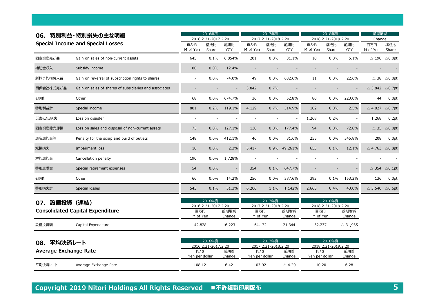| 06.             | 特別利益・特別損失の主な明細                                         |                 | 2016年度<br>2016.2.21-2017.2.20                              |                |                        | 2017年度<br>2017.2.21-2018.2.20 |                   |                        | 2018年度<br>2018.2.21-2019.2.20 |                    | 前期増減<br>Change                      |                                   |  |
|-----------------|--------------------------------------------------------|-----------------|------------------------------------------------------------|----------------|------------------------|-------------------------------|-------------------|------------------------|-------------------------------|--------------------|-------------------------------------|-----------------------------------|--|
|                 | <b>Special Income and Special Losses</b>               | 百万円<br>M of Yen | 構成比<br>Share                                               | 前期比<br>YOY     | 百万円<br>M of Yen        | 構成比<br>Share                  | 前期比<br><b>YOY</b> | 百万円<br>M of Yen        | 構成比<br>Share                  | 前期比<br>YOY         | 百万円<br>M of Yen                     | 構成比<br>Share                      |  |
| 固定資産売却益         | Gain on sales of non-current assets                    | 645             | 0.1%                                                       | 6,854%         | 201                    | 0.0%                          | 31.1%             | 10                     | 0.0%                          | 5.1%               | $\triangle$ 190                     | $\triangle$ 0.0pt                 |  |
| 補助金収入           | Subsidy income                                         | 80              | 0.0%                                                       | 12.4%          |                        |                               |                   |                        |                               |                    |                                     |                                   |  |
| 新株予約権戻入益        | Gain on reversal of subscription rights to shares      | $\overline{7}$  | 0.0%                                                       | 74.0%          | 49                     | 0.0%                          | 632.6%            | 11                     | 0.0%                          | 22.6%              | $\triangle$ 38                      | $\triangle$ 0.0pt                 |  |
| 関係会社株式売却益       | Gain on sales of shares of subsidiaries and associates |                 |                                                            |                | 3,842                  | 0.7%                          |                   |                        |                               |                    | $\triangle$ 3,842 $\triangle$ 0.7pt |                                   |  |
| その他             | Other                                                  | 68              | 0.0%                                                       | 674.7%         | 36                     | 0.0%                          | 52.8%             | 80                     | 0.0%                          | 223.0%             | 44                                  | 0.0pt                             |  |
| 特別利益計           | Special income                                         | 801             | 0.2%                                                       | 119.1%         | 4,129                  | 0.7%                          | 514.9%            | 102                    | 0.0%                          | 2.5%               | $\triangle$ 4,027 $\triangle$ 0.7pt |                                   |  |
| 災害による損失         | Loss on disaster                                       |                 |                                                            |                |                        |                               |                   | 1,268                  | 0.2%                          |                    | 1,268                               | 0.2pt                             |  |
| 固定資産除売却損        | Loss on sales and disposal of non-current assets       | 73              | 0.0%                                                       | 127.1%         | 130                    | 0.0%                          | 177.4%            | 94                     | 0.0%                          | 72.8%              |                                     | $\triangle$ 35 $\triangle$ 0.0pt  |  |
| 退店違約金等          | Penalty for the scrap and build of outlets             | 148             | 0.0%                                                       | 412.1%         | 46                     | 0.0%                          | 31.6%             | 255                    | 0.0%                          | 545.8%             | 208                                 | 0.0pt                             |  |
| 減損損失            | Impairment loss                                        | 10              | 0.0%                                                       | 2.3%           | 5,417                  | 0.9%                          | 49,261%           | 653                    | 0.1%                          | 12.1%              | $\triangle$ 4,763 $\triangle$ 0.8pt |                                   |  |
| 解約違約金           | Cancellation penalty                                   | 190             | 0.0%                                                       | 1,728%         |                        |                               |                   |                        |                               |                    |                                     |                                   |  |
| 特別退職金           | Special retirement expenses                            | 54              | 0.0%                                                       |                | 354                    | 0.1%                          | 647.7%            |                        |                               |                    |                                     | $\triangle$ 354 $\triangle$ 0.1pt |  |
| その他             | Other                                                  | 66              | 0.0%                                                       | 14.2%          | 256                    | 0.0%                          | 387.6%            | 393                    | 0.1%                          | 153.2%             | 136                                 | 0.0pt                             |  |
| 特別損失計           | Special losses                                         | 543             | 0.1%                                                       | 51.3%          | 6,206                  | 1.1%                          | 1,142%            | 2,665                  | 0.4%                          | 43.0%              | $\triangle$ 3,540 $\triangle$ 0.6pt |                                   |  |
| 設備投資(連結)<br>07. | <b>Consolidated Capital Expenditure</b>                | 百万円<br>M of Yen | 2016年度<br>2016.2.21-2017.2.20                              | 前期増減<br>Change | 百万円<br>M of Yen        | 2017年度<br>2017.2.21-2018.2.20 | 前期増減<br>Change    | 百万円<br>M of Yen        | 2018年度<br>2018.2.21-2019.2.20 | 前期増減<br>Change     |                                     |                                   |  |
| 設備投資額           | Capital Expenditure                                    | 42,828          |                                                            | 16,223         | 64,172                 |                               | 21,344            | 32,237                 |                               | $\triangle$ 31,935 |                                     |                                   |  |
| 08.             | 平均決済レート<br><b>Average Exchange Rate</b>                |                 | 2016年度<br>2016.2.21-2017.2.20<br>$H/$ \$<br>Yen per dollar | 前期差<br>Change  | 円/\$<br>Yen per dollar | 2017年度<br>2017.2.21-2018.2.20 | 前期差<br>Change     | 円/\$<br>Yen per dollar | 2018年度<br>2018.2.21-2019.2.20 | 前期差<br>Change      |                                     |                                   |  |
| 平均決済レート         | Average Exchange Rate                                  | 108.12          |                                                            | 6.42           | 103.92                 |                               | $\triangle$ 4.20  | 110.20                 |                               | 6.28               |                                     |                                   |  |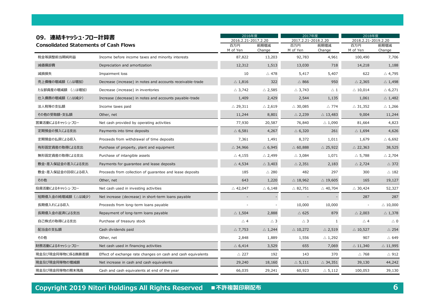| 09. 連結キャッシュ・フロー計算書                           |                                                              | 2016年度                     |                   | 2017年度                     |                    | 2018年度<br>2018.2.21-2019.2.20 |                    |
|----------------------------------------------|--------------------------------------------------------------|----------------------------|-------------------|----------------------------|--------------------|-------------------------------|--------------------|
| <b>Consolidated Statements of Cash Flows</b> |                                                              | 2016.2.21-2017.2.20<br>百万円 | 前期増減              | 2017.2.21-2018.2.20<br>百万円 | 前期増減               | 百万円                           | 前期増減               |
| 税金等調整前当期純利益                                  | Income before income taxes and minority interests            | M of Yen<br>87,822         | Change<br>13,203  | M of Yen<br>92,783         | Change<br>4,961    | M of Yen<br>100,490           | Change<br>7,706    |
| 減価償却費                                        | Depreciation and amortization                                | 12,312                     | 1,513             | 13,030                     | 718                | 14,218                        | 1,188              |
| 減損損失                                         | Impairment loss                                              | 10                         | $\triangle$ 478   | 5,417                      | 5,407              | 622                           | $\triangle$ 4,795  |
| 売上債権の増減額(△は増加)                               | Decrease (increase) in notes and accounts receivable-trade   | $\triangle$ 1,816          | 322               | $\triangle$ 866            | 950                | $\triangle$ 2,365             | $\triangle$ 1,498  |
| たな卸資産の増減額 (△は増加)                             | Decrease (increase) in inventories                           | $\triangle$ 3,742          | $\triangle$ 2,585 | $\triangle$ 3,743          | $\triangle$ 1      | $\triangle$ 10,014            | $\triangle$ 6,271  |
| 仕入債務の増減額(△は減少)                               | Increase (decrease) in notes and accounts payable-trade      | 1,409                      | 2,429             | 2,544                      | 1,135              | 1,061                         | $\triangle$ 1,482  |
| 法人税等の支払額                                     | Income taxes paid                                            | $\triangle$ 29,311         | $\triangle$ 2,619 | $\triangle$ 30,085         | $\triangle$ 774    | $\triangle$ 31,352            | $\triangle$ 1,266  |
| その他の受取額・支払額                                  | Other, net                                                   | 11,244                     | 8,801             | $\triangle$ 2,239          | $\triangle$ 13,483 | 9,004                         | 11,244             |
| 営業活動によるキャッシュ・フロー                             | Net cash provided by operating activities                    | 77,930                     | 20,587            | 76,840                     | $\triangle$ 1,090  | 81,664                        | 4,823              |
| 定期預金の預入による支出                                 | Payments into time deposits                                  | $\triangle$ 6,581          | 4,267             | $\triangle$ 6,320          | 261                | $\triangle$ 1,694             | 4,626              |
| 定期預金の払戻による収入                                 | Proceeds from withdrawal of time deposits                    | 7,361                      | 1,491             | 8,372                      | 1,011              | 1,679                         | $\triangle$ 6,692  |
| 有形固定資産の取得による支出                               | Purchase of property, plant and equipment                    | $\triangle$ 34,966         | $\triangle$ 6,945 | $\triangle$ 60,888         | $\triangle$ 25,922 | $\triangle$ 22,363            | 38,525             |
| 無形固定資産の取得による支出                               | Purchase of intangible assets                                | $\triangle$ 4,155          | $\triangle$ 2,499 | $\triangle$ 3,084          | 1,071              | $\triangle$ 5,788             | $\triangle$ 2,704  |
| 敷金・差入保証金の差入による支出                             | Payments for guarantee and lease deposits                    | $\triangle$ 4,534          | $\triangle$ 3,403 | $\triangle$ 2,351          | 2,183              | $\triangle$ 2,724             | $\triangle$ 372    |
| 敷金・差入保証金の回収による収入                             | Proceeds from collection of guarantee and lease deposits     | 185                        | $\triangle$ 280   | 482                        | 297                | 300                           | $\triangle$ 182    |
| その他                                          | Other, net                                                   | 643                        | 1,220             | $\triangle$ 18,962         | $\triangle$ 19,605 | 165                           | 19,127             |
| 投資活動によるキャッシュ・フロー                             | Net cash used in investing activities                        | $\triangle$ 42,047         | $\triangle$ 6,148 | $\triangle$ 82,751         | $\triangle$ 40,704 | $\triangle$ 30,424            | 52,327             |
| 短期借入金の純増減額(△は減少)                             | Net increase (decrease) in short-term loans payable          |                            |                   |                            |                    | 287                           | 287                |
| 長期借入れによる収入                                   | Proceeds from long-term loans payable                        |                            |                   | 10,000                     | 10,000             |                               | $\triangle$ 10,000 |
| 長期借入金の返済による支出                                | Repayment of long-term loans payable                         | $\triangle$ 1,504          | 2,888             | $\triangle$ 625            | 879                | $\triangle$ 2,003             | $\triangle$ 1,378  |
| 自己株式の取得による支出                                 | Purchase of treasury stock                                   | $\triangle$ 4              | $\triangle$ 3     | $\triangle$ 3              | $\mathbf{1}$       | $\triangle$ 4                 | $\triangle$ 0      |
| 配当金の支払額                                      | Cash dividends paid                                          | $\triangle$ 7,753          | $\triangle$ 1,244 | $\triangle$ 10,272         | $\triangle$ 2,519  | $\triangle$ 10,527            | $\triangle$ 254    |
| その他                                          | Other, net                                                   | 2,848                      | 1,889             | 1,556                      | $\triangle$ 1,292  | 907                           | $\triangle$ 649    |
| 財務活動によるキャッシュ・フロー                             | Net cash used in financing activities                        | $\triangle$ 6,414          | 3,529             | 655                        | 7,069              | $\triangle$ 11,340            | $\triangle$ 11,995 |
| 現金及び現金同等物に係る換算差額                             | Effect of exchange rate changes on cash and cash equivalents | $\triangle$ 227            | 192               | 143                        | 370                | $\triangle$ 768               | $\triangle$ 912    |
| 現金及び現金同等物の増減額                                | Net increase in cash and cash equivalents                    | 29,240                     | 18,160            | $\triangle$ 5,111          | $\triangle$ 34,351 | 39,130                        | 44,242             |
| 現金及び現金同等物の期末残高                               | Cash and cash equivalents at end of the year                 | 66,035                     | 29,241            | 60,923                     | $\triangle$ 5,112  | 100,053                       | 39,130             |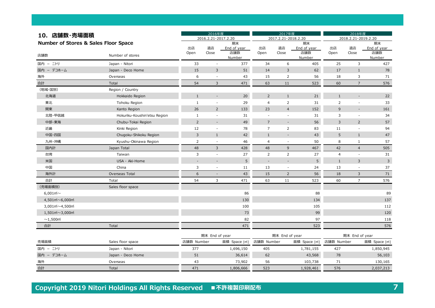| 10. 店舗数·売場面積                                      |                              | 2016年度         |                          |                    | 2017年度                   | 2018年度                   |                    |                |                          |                    |
|---------------------------------------------------|------------------------------|----------------|--------------------------|--------------------|--------------------------|--------------------------|--------------------|----------------|--------------------------|--------------------|
|                                                   |                              |                | 2016.2.21-2017.2.20      |                    |                          | 2017.2.21-2018.2.20      |                    |                | 2018.2.21-2019.2.20      |                    |
| Number of Stores & Sales Floor Space              |                              |                |                          | 期末                 |                          |                          | 期末                 |                |                          | 期末                 |
|                                                   |                              | 出店<br>Open     | 退店<br>Close              | End of year<br>店舗数 | 出店<br>Open               | 退店<br>Close              | End of year<br>店舗数 | 出店<br>Open     | 退店<br>Close              | End of year<br>店舗数 |
| 店舗数                                               | Number of stores             |                |                          | Number             |                          |                          | Number             |                |                          | Number             |
| - ニトリ<br>国内                                       | Japan - Nitori               | 33             | $\overline{\phantom{a}}$ | 377                | 34                       | 6                        | 405                | 25             | 3                        | 427                |
| 国内 - デコホーム                                        | Japan - Deco Home            | 15             | 3                        | 51                 | 14                       | $\overline{3}$           | 62                 | 17             | $1\,$                    | 78                 |
| 海外                                                | Overseas                     | 6              | $\sim$                   | 43                 | 15                       | $\overline{2}$           | 56                 | 18             | 3                        | 71                 |
| 合計                                                | Total                        | 54             | $\mathbf{3}$             | 471                | 63                       | 11                       | 523                | 60             | $\overline{7}$           | 576                |
| (地域·国別)                                           | Region / Country             |                |                          |                    |                          |                          |                    |                |                          |                    |
| 北海道                                               | Hokkaido Region              | $\mathbf{1}$   | $\overline{\phantom{a}}$ | 20                 | $\overline{2}$           | $\mathbf{1}$             | 21                 | $\mathbf{1}$   | $\overline{\phantom{a}}$ | 22                 |
| 東北                                                | Tohoku Region                | $\mathbf{1}$   | $\overline{\phantom{a}}$ | 29                 | $\overline{4}$           | $\overline{2}$           | 31                 | 2              | $\overline{\phantom{m}}$ | 33                 |
| 関東                                                | Kanto Region                 | 26             | $\overline{2}$           | 133                | 23                       | $\overline{4}$           | 152                | 9              | $\overline{\phantom{a}}$ | 161                |
| 北陸·甲信越                                            | Hokuriku-Koushin'etsu Region | $\mathbf{1}$   | $\overline{\phantom{a}}$ | 31                 | $\overline{\phantom{a}}$ | $\overline{\phantom{a}}$ | 31                 | 3              | $\overline{\phantom{a}}$ | 34                 |
| 中部·東海                                             | Chubu-Tokai Region           | $\overline{2}$ | $\overline{\phantom{a}}$ | 49                 | $\overline{7}$           | $\overline{a}$           | 56                 | $\overline{3}$ | $\overline{2}$           | 57                 |
| 近畿                                                | Kinki Region                 | 12             | $\overline{\phantom{a}}$ | 78                 | $\overline{7}$           | $\overline{2}$           | 83                 | 11             | $\overline{\phantom{a}}$ | 94                 |
| 中国・四国                                             | Chugoku-Shikoku Region       | 3              | $\mathbf{1}$             | 42                 | $\mathbf{1}$             | $\sim$                   | 43                 | 5              | $\mathbf{1}$             | 47                 |
| 九州・沖縄                                             | Kyushu-Okinawa Region        | $\overline{2}$ | $\overline{\phantom{a}}$ | 46                 | $\overline{4}$           |                          | 50                 | 8              | $\mathbf{1}$             | 57                 |
| 国内計                                               | Japan Total                  | 48             | 3                        | 428                | 48                       | 9                        | 467                | 42             | $\overline{4}$           | 505                |
| 台湾                                                | Taiwan                       | $\overline{3}$ | $\overline{\phantom{a}}$ | 27                 | $\overline{2}$           | $\overline{2}$           | 27                 | $\overline{4}$ | $\sim$                   | 31                 |
| 米国                                                | USA - Aki-Home               | $\overline{a}$ |                          | 5                  | $\overline{\phantom{a}}$ | $\sim$                   | 5                  | $\mathbf{1}$   | 3                        | $\overline{3}$     |
| 中国                                                | China                        | 3              |                          | 11                 | 13                       |                          | 24                 | 13             |                          | 37                 |
| 海外計                                               | Overseas Total               | 6              | $\overline{\phantom{a}}$ | 43                 | 15                       | $\overline{2}$           | 56                 | 18             | 3                        | 71                 |
| 合計                                                | Total                        | 54             | 3                        | 471                | 63                       | 11                       | 523                | 60             | $\overline{7}$           | 576                |
| (売場面積別)                                           | Sales floor space            |                |                          |                    |                          |                          |                    |                |                          |                    |
| 6,001 $m \sim$                                    |                              |                |                          | 86                 |                          |                          | 88                 |                |                          | 89                 |
| 4,501 $m$ <sup>~6,000<math>m</math></sup>         |                              |                |                          | 130                |                          |                          | 134                |                |                          | 137                |
| 3,001 $\vec{m}$ ~4,500 $\vec{m}$                  |                              |                |                          | 100                |                          |                          | 105                |                |                          | 112                |
| $1,501$ m <sup>2</sup> $\sim$ 3,000m <sup>2</sup> |                              |                |                          | 73                 |                          |                          | 99                 |                |                          | 120                |
| $\sim$ 1,500 $\mathrm{m}$                         |                              |                |                          | 82                 |                          |                          | 97                 |                |                          | 118                |
| 合計                                                | Total                        |                |                          | 471                |                          |                          | 523                |                |                          | 576                |
|                                                   |                              |                | 期末 End of year           |                    |                          | 期末 End of year           |                    |                | 期末 End of year           |                    |
| 売場面積                                              | Sales floor space            | 店舗数 Number     |                          | 面積 Space [mi]      | 店舗数 Number               |                          | 面積 Space [mi]      | 店舗数 Number     |                          | 面積 Space [mi]      |
| 国内 - ニトリ                                          | Japan - Nitori               | 377            |                          | 1,696,150          | 405                      |                          | 1,781,155          | 427            |                          | 1,850,945          |
| 国内 - デコホーム                                        | Japan - Deco Home            | 51             |                          | 36,614             | 62                       |                          | 43,568             | 78             |                          | 56,103             |
| 海外                                                | Overseas                     | 43             |                          | 73,902             | 56                       |                          | 103,738            | 71             |                          | 130,165            |
| 合計                                                | Total                        | 471            |                          | 1,806,666          | 523                      |                          | 1,928,461          | 576            |                          | 2,037,213          |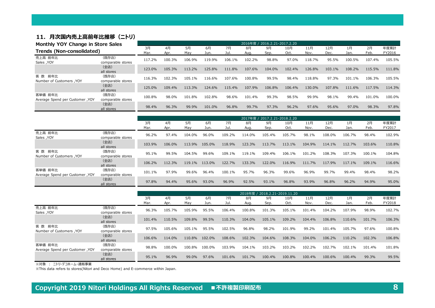#### 11. 月次国内売上高前年比推移 (ニトリ)

|                                            | Monthly YOY Change in Store Sales |            | 2016年度 / 2016.2.21-2017.2.20 |           |            |            |            |                              |             |             |             |            |            |                |  |
|--------------------------------------------|-----------------------------------|------------|------------------------------|-----------|------------|------------|------------|------------------------------|-------------|-------------|-------------|------------|------------|----------------|--|
| Trends (Non-consolidated)                  |                                   | 3月<br>Mar. | 4月<br>Apr.                   | 5月<br>Mav | 6月<br>Jun. | 7月<br>Jul. | 8月<br>Aug. | 9月<br>Sep.                   | 10月<br>Oct. | 11月<br>Nov. | 12月<br>Dec. | 1月<br>Jan. | 2月<br>Feb. | 年度累計<br>FY2016 |  |
| 売上高 前年比<br><b>Sales</b> , YOY              | (既存店)<br>comparable stores        | 117.2%     | 100.3%                       | 106.9%    | 119.9%     | 106.1%     | 102.2%     | 98.8%                        | 97.0%       | 118.7%      | 95.5%       | 100.5%     | 107.4%     | 105.5%         |  |
|                                            | (全店)<br>all stores                | 123.0%     | 105.3%                       | 113.2%    | 125.8%     | 111.8%     | 107.6%     | 104.0%                       | 102.4%      | 126.8%      | 103.1%      | 108.2%     | 115.5%     | 111.8%         |  |
| 客 数 前年比<br><b>Number of Customers, YOY</b> | (既存店)<br>comparable stores        | 116.3%     | 102.3%                       | 105.1%    | 116.6%     | 107.6%     | 100.8%     | 99.5%                        | 98.4%       | 118.8%      | 97.3%       | 101.1%     | 106.3%     | 105.5%         |  |
|                                            | (全店)<br>all stores                | 125.0%     | 109.4%                       | 113.3%    | 124.6%     | 115.4%     | 107.9%     | 106.8%                       | 106.4%      | 130.0%      | 107.8%      | 111.6%     | 117.5%     | 114.3%         |  |
| 客単価 前年比<br>Average Spend per Customer, YOY | (既存店)<br>comparable stores        | 100.8%     | 98.0%                        | 101.8%    | 102.8%     | 98.6%      | 101.4%     | 99.3%                        | 98.5%       | 99.9%       | 98.1%       | 99.4%      | 101.0%     | 100.0%         |  |
|                                            | (全店)<br>all stores                | 98.4%      | 96.3%                        | 99.9%     | 101.0%     | 96.8%      | 99.7%      | 97.3%                        | 96.2%       | 97.6%       | 95.6%       | 97.0%      | 98.3%      | 97.8%          |  |
|                                            |                                   |            |                              |           |            |            |            | 2017年度 / 2017.2.21-2018.2.20 |             |             |             |            |            |                |  |

|                                            |                            | 2017年度 / 2017.2.21-2018.2.20 |        |        |        |        |        |        |        |        |        |        |        |        |
|--------------------------------------------|----------------------------|------------------------------|--------|--------|--------|--------|--------|--------|--------|--------|--------|--------|--------|--------|
|                                            |                            | 3月                           | 4月     | 5月     | 6月     | 7月     | 8月     | 9月     | 10月    | 11月    | 12月    | 1月     | 2月     | 年度累計   |
|                                            |                            | Mar.                         | Apr.   | May    | Jun.   | Jul.   | Aug.   | Sep.   | Oct.   | Nov.   | Dec.   | Jan.   | Feb.   | FY2017 |
| 売上高 前年比<br><b>Sales</b> , YOY              | (既存店)<br>comparable stores | 96.2%                        | 97.4%  | 104.0% | 96.0%  | 109.2% | 114.0% | 105.4% | 105.7% | 98.1%  | 108.0% | 106.7% | 98.4%  | 102.9% |
|                                            | (全店)<br>all stores         | 103.9%                       | 106.0% | 113.9% | 105.0% | 118.9% | 123.3% | 113.7% | 113.1% | 104.9% | 114.1% | 112.7% | 103.6% | 110.8% |
| 客 数 前年比<br>Number of Customers, YOY        | (既存店)<br>comparable stores | 95.1%                        | 99.5%  | 104.5% | 99.6%  | 109.1% | 119.1% | 109.4% | 106.1% | 101.2% | 108.3% | 107.3% | 100.1% | 104.8% |
|                                            | (全店)<br>all stores         | 106.2%                       | 112.3% | 119.1% | 113.0% | 122.7% | 133.3% | 122.0% | 116.9% | 111.7% | 117.9% | 117.1% | 109.1% | 116.6% |
| 客単価 前年比<br>Average Spend per Customer, YOY | (既存店)<br>comparable stores | 101.1%                       | 97.9%  | 99.6%  | 96.4%  | 100.1% | 95.7%  | 96.3%  | 99.6%  | 96.9%  | 99.7%  | 99.4%  | 98.4%  | 98.2%  |
|                                            | (全店)<br>all stores         | 97.8%                        | 94.4%  | 95.6%  | 93.0%  | 96.9%  | 92.5%  | 93.1%  | 96.8%  | 93.9%  | 96.8%  | 96.2%  | 94.9%  | 95.0%  |

|                                            |                            | 2018年度 / 2018.2.21-2019.11.20 |            |           |            |            |            |            |             |             |             |            |            |                |
|--------------------------------------------|----------------------------|-------------------------------|------------|-----------|------------|------------|------------|------------|-------------|-------------|-------------|------------|------------|----------------|
|                                            |                            | 3月<br>Mar.                    | 4月<br>Apr. | 5月<br>May | 6月<br>Jun. | 7月<br>Jul. | 8月<br>Aug. | 9月<br>Sep. | 10月<br>Oct. | 11月<br>Nov. | 12月<br>Dec. | 1月<br>Jan. | 2月<br>Feb. | 年度累計<br>FY2018 |
| 売上高 前年比<br><b>Sales</b> , YOY              | (既存店)<br>comparable stores | 96.3%                         | 105.7%     | 105.9%    | 95.5%      | 106.4%     | 100.8%     | 101.3%     | 105.1%      | 101.4%      | 104.2%      | 107.9%     | 98.9%      | 102.7%         |
|                                            | (全店)<br>all stores         | 101.4%                        | 110.5%     | 109.8%    | 99.5%      | 110.3%     | 104.0%     | 105.1%     | 109.2%      | 104.4%      | 106.8%      | 110.6%     | 101.7%     | 106.3%         |
| 前年比<br>客 数<br>Number of Customers, YOY     | (既存店)<br>comparable stores | 97.5%                         | 105.6%     | 105.1%    | 95.5%      | 102.5%     | 96.8%      | 98.2%      | 101.9%      | 99.2%       | 101.4%      | 105.7%     | 97.6%      | 100.8%         |
|                                            | (全店)<br>all stores         | 106.6%                        | 114.0%     | 110.8%    | 102.0%     | 108.6%     | 102.3%     | 104.6%     | 108.3%      | 104.0%      | 106.2%      | 110.2%     | 102.3%     | 106.8%         |
| 客単価 前年比<br>Average Spend per Customer, YOY | (既存店)<br>comparable stores | 98.8%                         | 100.0%     | 100.8%    | 100.0%     | 103.9%     | 104.1%     | 103.2%     | 103.2%      | 102.2%      | 102.7%      | 102.1%     | 101.4%     | 101.8%         |
|                                            | (全店)<br>all stores         | 95.1%                         | 96.9%      | 99.0%     | 97.6%      | 101.6%     | 101.7%     | 100.4%     | 100.8%      | 100.4%      | 100.6%      | 100.4%     | 99.3%      | 99.5%          |

※対象 : ニトリ・デコホーム・通販事業

※This data refers to stores(Nitori and Deco Home) and E-commerce within Japan.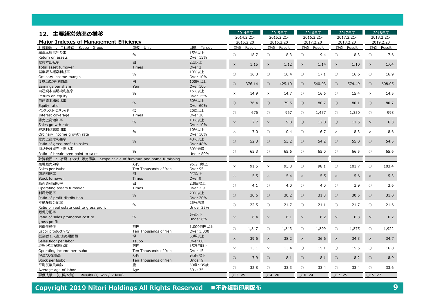|                                                                             |                           |                    |                  | 2014年度     |                          | 2015年度     |                          | 2016年度     |                          | 2017年度     |                  | 2018年度     |  |
|-----------------------------------------------------------------------------|---------------------------|--------------------|------------------|------------|--------------------------|------------|--------------------------|------------|--------------------------|------------|------------------|------------|--|
| 12. 主要経営効率の推移                                                               |                           |                    |                  | 2014.2.21- |                          | 2015.2.21- |                          | 2016.2.21- |                          | 2017.2.21- |                  | 2018.2.21- |  |
| <b>Major Indexes of Management Efficiency</b>                               |                           |                    | 2015.2.20        |            | 2016.2.20                |            | 2017.2.20                |            | 2018.2.20                |            | 2019.2.20        |            |  |
| 計算範囲 : 全社連結<br>Scope: Group                                                 | 単位<br>Unit                | 目標<br>Target       | 数値               | Result     | 数値                       | Result     | 数値                       | Result     | 数値                       | Result     | 数値               | Result     |  |
| 総資本経常利益率                                                                    |                           | 15%以上              |                  |            |                          |            |                          |            |                          |            |                  |            |  |
| Return on assets                                                            | $\%$                      | Over 15%           | $\circ$          | 18.7       | $\bigcirc$               | 18.3       | $\circ$                  | 19.4       | $\bigcirc$               | 18.3       | $\bigcirc$       | 17.6       |  |
| 総資本回転率                                                                      | 回                         | 2回以上               |                  |            |                          |            |                          |            |                          |            |                  |            |  |
| Total asset turnover                                                        | <b>Times</b>              | Over 2             | $\times$         | 1.15       | $\times$                 | 1.12       | $\times$                 | 1.14       | $\times$                 | 1.10       | $\times$         | 1.04       |  |
| 営業収入経常利益率                                                                   | $\%$                      | 10%以上              | $\bigcirc$       | 16.3       | $\circ$                  | 16.4       | $\circ$                  | 17.1       | $\circ$                  | 16.6       | $\circ$          | 16.9       |  |
| Ordinary income margin                                                      |                           | Over 10%           |                  |            |                          |            |                          |            |                          |            |                  |            |  |
| 1株当たり純利益高                                                                   | 円                         | 100円以上             | $\circ$          | 376.14     | $\bigcirc$               | 425.10     | $\circ$                  | 540.93     | $\bigcirc$               | 574.49     | $\bigcirc$       | 608.05     |  |
| Earnings per share                                                          | Yen                       | Over 100           |                  |            |                          |            |                          |            |                          |            |                  |            |  |
| 自己資本当期純利益率                                                                  | $\%$                      | 15%以上              | $\times$         | 14.9       | $\times$                 | 14.7       | $\bigcirc$               | 16.6       | $\circ$                  | 15.4       | $\times$         | 14.5       |  |
| Return on equity                                                            |                           | Over 15%           |                  |            |                          |            |                          |            |                          |            |                  |            |  |
| 自己資本構成比率                                                                    | $\%$                      | 60%以上              | $\circ$          | 76.4       | $\circ$                  | 79.5       | $\circ$                  | 80.7       | $\circ$                  | 80.1       | $\circ$          | 80.7       |  |
| Equity ratio                                                                |                           | Over 60%           |                  |            |                          |            |                          |            |                          |            |                  |            |  |
| インタレスト・カバレッジ                                                                | 倍                         | 20倍以上              | $\circ$          | 676        | $\bigcirc$               | 967        | $\bigcirc$               | 1,457      | $\bigcirc$               | 1,350      | $\circ$          | 998        |  |
| Interest coverage                                                           | Times                     | Over 20            |                  |            |                          |            |                          |            |                          |            |                  |            |  |
| 総売上高増加率                                                                     | $\frac{0}{0}$             | 10%以上              | $\times$         | 7.7        | $\times$                 | 9.8        | $\bigcirc$               | 12.0       | $\bigcirc$               | 11.5       | $\times$         | 6.3        |  |
| Sales growth rate                                                           |                           | <b>Over 10%</b>    |                  |            |                          |            |                          |            |                          |            |                  |            |  |
| 経常利益高増加率                                                                    | $\%$                      | 10%以上              | $\times$         | 7.0        | О                        | 10.4       | O                        | 16.7       | $\times$                 | 8.3        | $\times$         | 8.6        |  |
| Ordinary income growth rate                                                 |                           | Over 10%           |                  |            |                          |            |                          |            |                          |            |                  |            |  |
| 総売上高総利益率                                                                    | $\%$                      | 48%以上              | $\circ$          | 52.3       | $\bigcirc$               | 53.2       | $\bigcirc$               | 54.2       | $\bigcirc$               | 55.0       | $\circ$          | 54.5       |  |
| Ratio of gross profit to sales                                              |                           | <b>Over 48%</b>    |                  |            |                          |            |                          |            |                          |            |                  |            |  |
| 損益分岐点売上高比率                                                                  | $\frac{0}{0}$             | 80%未満              | $\bigcirc$       | 65.3       | $\bigcirc$               | 65.6       | $\bigcirc$               | 65.0       | $\bigcirc$               | 66.5       | $\bigcirc$       | 65.6       |  |
| Ratio of break-even point to sales                                          |                           | Under 80%          |                  |            |                          |            |                          |            |                          |            |                  |            |  |
| 計算範囲 : 家具·インテリア販売事業 Scope : Sale of furniture and home furnishing<br>売場販売効率 |                           |                    |                  |            |                          |            |                          |            |                          |            |                  |            |  |
|                                                                             | 万円                        | 95万円以上             | $\times$         | 91.5       | $\times$                 | 93.8       | $\circ$                  | 98.1       | $\circ$                  | 101.7      | $\circ$          | 103.4      |  |
| Sales per tsubo<br>商品回転率                                                    | Ten Thousands of Yen<br>回 | Over 95<br>9回以上    |                  |            |                          |            |                          |            |                          |            |                  |            |  |
| Stock turnover                                                              | <b>Times</b>              | Over 9             | $\times$         | 5.5        | $\times$                 | 5.4        | $\times$                 | 5.5        | $\times$                 | 5.6        | $\times$         | 5.3        |  |
| 販売資産回転率                                                                     | 回                         | 2.9回以上             |                  |            |                          |            |                          |            |                          |            |                  |            |  |
| Operating assets turnover                                                   | Times                     | Over 2.9           | $\bigcirc$       | 4.1        | $\circ$                  | 4.0        | $\circ$                  | 4.0        | $\circ$                  | 3.9        | $\bigcirc$       | 3.6        |  |
| 利潤分配率                                                                       |                           | 20%以上              |                  |            |                          |            |                          |            |                          |            |                  |            |  |
| Ratio of profit distribution                                                | %                         | <b>Over 20%</b>    | $\circ$          | 30.6       | $\bigcirc$               | 30.2       | $\circ$                  | 31.3       | $\bigcirc$               | 30.5       | $\circ$          | 31.0       |  |
| 不動産費分配率                                                                     |                           | 25%未満              |                  |            |                          |            |                          |            |                          |            |                  |            |  |
| Ratio of real estate cost to gross profit                                   | $\%$                      | Under 25%          | $\bigcirc$       | 22.5       | $\circ$                  | 21.7       | $\circ$                  | 21.1       | $\circ$                  | 21.7       | $\circ$          | 21.6       |  |
| 販促分配率                                                                       |                           |                    |                  |            |                          |            |                          |            |                          |            |                  |            |  |
| Ratio of sales promotion cost to                                            | $\%$                      | <b>6%以下</b>        | $\times$         | 6.4        | $\times$                 | 6.1        | $\times$                 | 6.2        | $\times$                 | 6.3        | $\times$         | 6.2        |  |
| gross profit                                                                |                           | Under 6%           |                  |            |                          |            |                          |            |                          |            |                  |            |  |
| 労働生産性                                                                       | 万円                        | 1,000万円以上          |                  |            |                          |            |                          |            |                          |            |                  |            |  |
| Labor productivity                                                          | Ten Thousands of Yen      | Over 1,000         | $\bigcirc$       | 1,847      | О                        | 1,843      | O                        | 1,899      | $\circ$                  | 1,875      | $\circ$          | 1,922      |  |
| 従業者1人当たり売場面積                                                                | 坪                         | 60坪以上              |                  |            |                          |            |                          |            |                          |            |                  |            |  |
| Sales floor per labor                                                       | Tsubo                     | Over <sub>60</sub> | $\times$         | 39.6       | $\times$                 | 38.2       | $\times$                 | 36.6       | $\times$                 | 34.3       | $\times$         | 34.7       |  |
| 坪当たり営業利益高                                                                   | 万円                        | 15万円以上             |                  |            |                          |            |                          | 15.1       |                          | 15.5       | $\bigcirc$       | 16.0       |  |
| Operating income per tsubo                                                  | Ten Thousands of Yen      | Over 15            | $\times$         | 13.1       | $\times$                 | 13.4       | $\circ$                  |            | $\circ$                  |            |                  |            |  |
| 坪当たり在庫高                                                                     | 万円                        | 9万円以下              | $\bigcirc$       | 7.9        | $\circ$                  | 8.1        | $\circ$                  | 8.1        | $\circ$                  | 8.2        | $\circ$          | 8.9        |  |
| Stock per tsubo                                                             | Ten Thousands of Yen      | Under 9            |                  |            |                          |            |                          |            |                          |            |                  |            |  |
| 平均従業員年齢                                                                     | 歳                         | 30歳~35歳            | $\bigcirc$       | 32.8       | $\circ$                  | 33.3       | $\circ$                  | 33.4       | $\circ$                  | 33.4       | $\bigcirc$       | 33.6       |  |
| Average age of labor                                                        | Age                       | $30 \sim 35$       |                  |            |                          |            |                          |            |                          |            |                  |            |  |
| 評価成績 (O勝/x負)<br>Results ( $\circ$ win / $\times$ lose)                      |                           |                    | $\bigcirc$ 13 ×9 |            | $\bigcirc$ 14 $\times$ 8 |            | $\bigcirc$ 18 $\times$ 4 |            | $\bigcirc$ 17 $\times$ 5 |            | $\bigcirc$ 15 ×7 |            |  |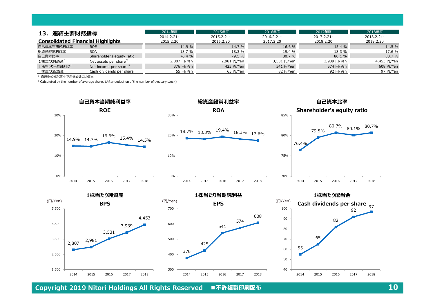| 連結主要財務指標<br>13<br><b>Consolidated Financial Highlights</b> |                                    | 2014年度                  | 2015年度                  | 2016年度                  | 2017年度                  | 2018年度                  |
|------------------------------------------------------------|------------------------------------|-------------------------|-------------------------|-------------------------|-------------------------|-------------------------|
|                                                            |                                    | 2014.2.21-<br>2015.2.20 | 2015.2.21-<br>2016.2.20 | 2016.2.21-<br>2017.2.20 | 2017.2.21-<br>2018.2.20 | 2018.2.21-<br>2019.2.20 |
| 自己資本当期純利益率                                                 | <b>ROE</b>                         | 14.9 %                  | 14.7 %                  | 16.6 %                  | 15.4 %                  | 14.5 %                  |
| 総資産経常利益率                                                   | <b>ROA</b>                         | 18.7 %                  | 18.3 %                  | 19.4 %                  | 18.3 %                  | 17.6 %                  |
| 自己資本比率                                                     | Shareholder's equity ratio         | 76.4 %                  | 79.5 %                  | 80.7%                   | 80.1 %                  | 80.7 %                  |
| 1株当たり純資産*                                                  | Net assets per share <sup>*1</sup> | 2,807 円/Yen             | 2,981 円/Yen             | 3,531 円/Yen             | 3,939 円/Yen             | 4,453 円/Yen             |
| 1株当たり当期純利益"                                                | Net income per share <sup>*1</sup> | 376 円/Yen               | 425 円/Yen               | 541 円/Yen               | 574 円/Yen               | 608 円/Yen               |
| 一株当たり配当金                                                   | Cash dividends per share           | 55 円/Yen                | 65 円/Yen                | 82 円/Yen                | 92 円/Yen                | 97 円/Yen                |

\* 自己株式を除く期中平均株式数により算出

\* Calculeted by the number of average shares (After deduction of the number of treasury stock)





**自己資本比率**